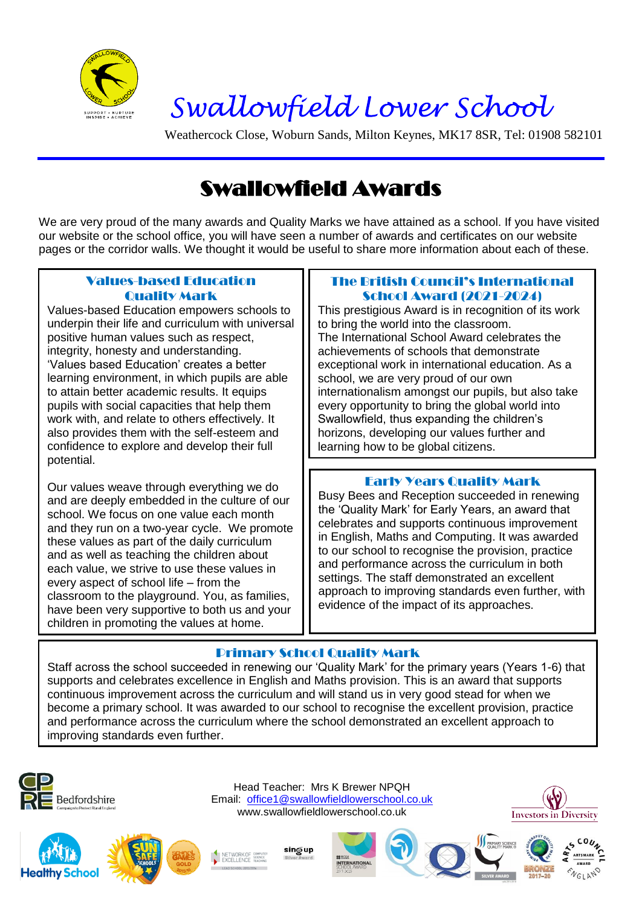

# Swallowfield Lower School

Weathercock Close, Woburn Sands, Milton Keynes, MK17 8SR, Tel: 01908 582101

## Swallowfield Awards

We are very proud of the many awards and Quality Marks we have attained as a school. If you have visited our website or the school office, you will have seen a number of awards and certificates on our website pages or the corridor walls. We thought it would be useful to share more information about each of these.

#### Values-based Education Quality Mark

Values-based Education empowers schools to underpin their life and curriculum with universal positive human values such as respect, integrity, honesty and understanding. 'Values based Education' creates a better learning environment, in which pupils are able to attain better academic results. It equips pupils with social capacities that help them work with, and relate to others effectively. It also provides them with the self-esteem and confidence to explore and develop their full potential.

Our values weave through everything we do and are deeply embedded in the culture of our school. We focus on one value each month and they run on a two-year cycle. We promote these values as part of the daily curriculum and as well as teaching the children about each value, we strive to use these values in every aspect of school life – from the classroom to the playground. You, as families, have been very supportive to both us and your children in promoting the values at home.

#### The British Council's International School Award (2021-2024)

This prestigious Award is in recognition of its work to bring the world into the classroom. The International School Award celebrates the achievements of schools that demonstrate exceptional work in international education. As a school, we are very proud of our own internationalism amongst our pupils, but also take every opportunity to bring the global world into Swallowfield, thus expanding the children's horizons, developing our values further and learning how to be global citizens.

### Early Years Quality Mark

Busy Bees and Reception succeeded in renewing the 'Quality Mark' for Early Years, an award that celebrates and supports continuous improvement in English, Maths and Computing. It was awarded to our school to recognise the provision, practice and performance across the curriculum in both settings. The staff demonstrated an excellent approach to improving standards even further, with evidence of the impact of its approaches.

### Primary School Quality Mark

Staff across the school succeeded in renewing our 'Quality Mark' for the primary years (Years 1-6) that supports and celebrates excellence in English and Maths provision. This is an award that supports continuous improvement across the curriculum and will stand us in very good stead for when we become a primary school. It was awarded to our school to recognise the excellent provision, practice and performance across the curriculum where the school demonstrated an excellent approach to improving standards even further.





sing up

NETWORK OF SOME<br>FXCELLENCE